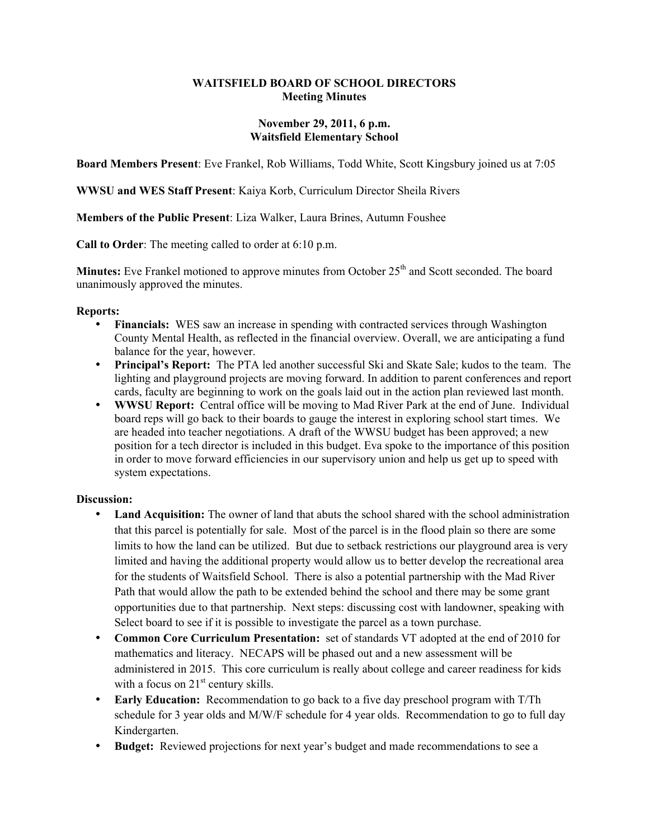### **WAITSFIELD BOARD OF SCHOOL DIRECTORS Meeting Minutes**

### **November 29, 2011, 6 p.m. Waitsfield Elementary School**

**Board Members Present**: Eve Frankel, Rob Williams, Todd White, Scott Kingsbury joined us at 7:05

**WWSU and WES Staff Present**: Kaiya Korb, Curriculum Director Sheila Rivers

**Members of the Public Present**: Liza Walker, Laura Brines, Autumn Foushee

**Call to Order**: The meeting called to order at 6:10 p.m.

**Minutes:** Eve Frankel motioned to approve minutes from October 25<sup>th</sup> and Scott seconded. The board unanimously approved the minutes.

#### **Reports:**

- **Financials:** WES saw an increase in spending with contracted services through Washington County Mental Health, as reflected in the financial overview. Overall, we are anticipating a fund balance for the year, however.
- **Principal's Report:** The PTA led another successful Ski and Skate Sale; kudos to the team. The lighting and playground projects are moving forward. In addition to parent conferences and report cards, faculty are beginning to work on the goals laid out in the action plan reviewed last month.
- **WWSU Report:** Central office will be moving to Mad River Park at the end of June. Individual board reps will go back to their boards to gauge the interest in exploring school start times. We are headed into teacher negotiations. A draft of the WWSU budget has been approved; a new position for a tech director is included in this budget. Eva spoke to the importance of this position in order to move forward efficiencies in our supervisory union and help us get up to speed with system expectations.

## **Discussion:**

- **Land Acquisition:** The owner of land that abuts the school shared with the school administration that this parcel is potentially for sale.Most of the parcel is in the flood plain so there are some limits to how the land can be utilized. But due to setback restrictions our playground area is very limited and having the additional property would allow us to better develop the recreational area for the students of Waitsfield School. There is also a potential partnership with the Mad River Path that would allow the path to be extended behind the school and there may be some grant opportunities due to that partnership. Next steps: discussing cost with landowner, speaking with Select board to see if it is possible to investigate the parcel as a town purchase.
- **Common Core Curriculum Presentation:** set of standards VT adopted at the end of 2010 for mathematics and literacy. NECAPS will be phased out and a new assessment will be administered in 2015. This core curriculum is really about college and career readiness for kids with a focus on  $21<sup>st</sup>$  century skills.
- **Early Education:** Recommendation to go back to a five day preschool program with T/Th schedule for 3 year olds and M/W/F schedule for 4 year olds. Recommendation to go to full day Kindergarten.
- **Budget:** Reviewed projections for next year's budget and made recommendations to see a